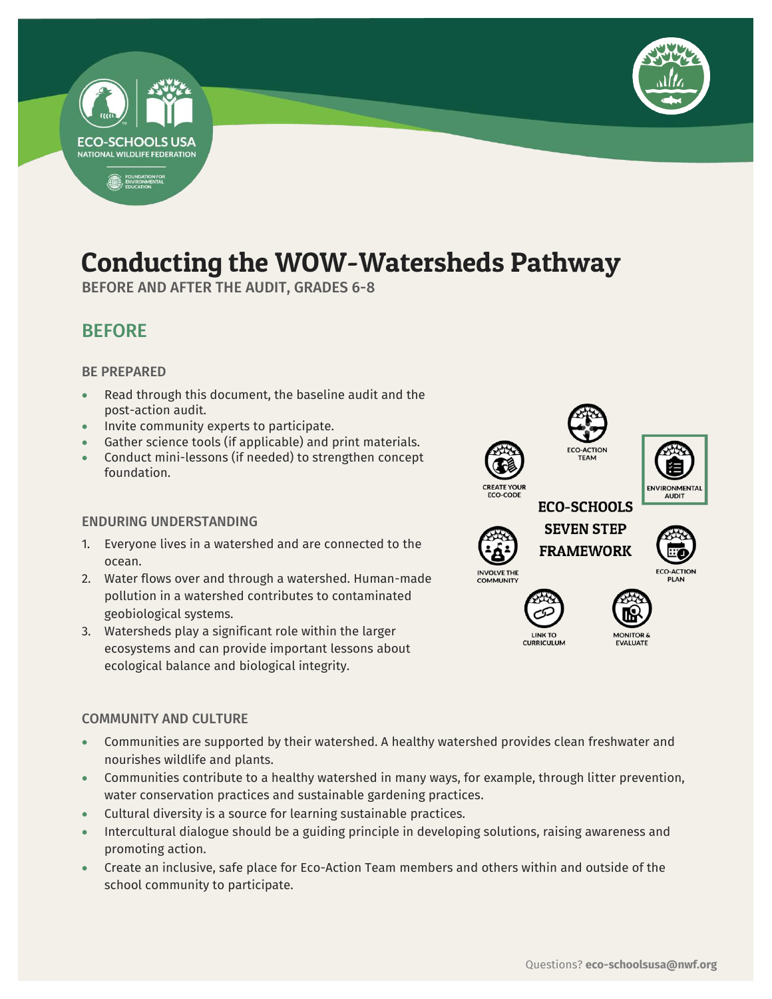

## Conducting the WOW-Watersheds Pathway

**Service** 

BEFORE AND AFTER THE AUDIT, GRADES 6-8

### BEFORE

### BE PREPARED

**ECO-SCHOOLS USA NATIONAL WILDLIFE FEDERATION** 

FOUNDATION FOR

- Read through this document, the baseline audit and the post-action audit.
- Invite community experts to participate.
- Gather science tools (if applicable) and print materials.
- Conduct mini-lessons (if needed) to strengthen concept foundation.

### ENDURING UNDERSTANDING

- 1. Everyone lives in a watershed and are connected to the ocean.
- 2. Water flows over and through a watershed. Human-made pollution in a watershed contributes to contaminated geobiological systems.
- 3. Watersheds play a significant role within the larger ecosystems and can provide important lessons about ecological balance and biological integrity.

### COMMUNITY AND CULTURE

- Communities are supported by their watershed. A healthy watershed provides clean freshwater and nourishes wildlife and plants.
- Communities contribute to a healthy watershed in many ways, for example, through litter prevention, water conservation practices and sustainable gardening practices.
- Cultural diversity is a source for learning sustainable practices.
- Intercultural dialogue should be a guiding principle in developing solutions, raising awareness and promoting action.
- Create an inclusive, safe place for Eco-Action Team members and others within and outside of the school community to participate.













EVALUATE



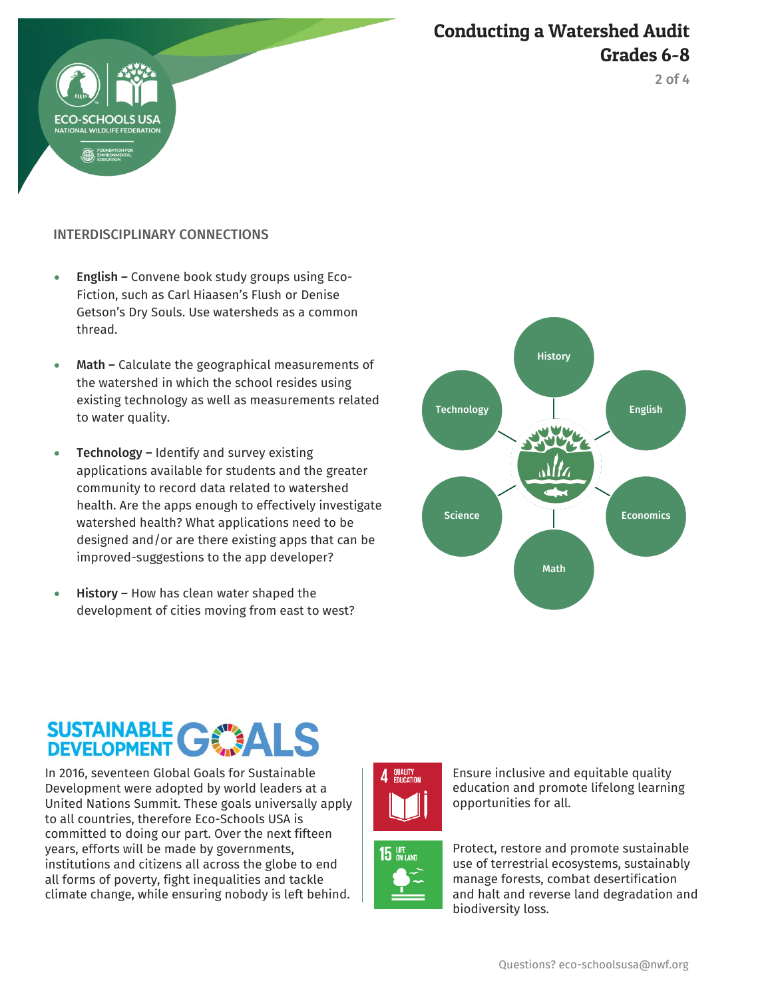

Conducting a Watershed Audit Grades 6-8

2 of 4

### INTERDISCIPLINARY CONNECTIONS

- English Convene book study groups using Eco-Fiction, such as Carl Hiaasen's Flush or Denise Getson's Dry Souls. Use watersheds as a common thread.
- Math Calculate the geographical measurements of the watershed in which the school resides using existing technology as well as measurements related to water quality.
- Technology Identify and survey existing applications available for students and the greater community to record data related to watershed health. Are the apps enough to effectively investigate watershed health? What applications need to be designed and/or are there existing apps that can be improved-suggestions to the app developer?
- History How has clean water shaped the development of cities moving from east to west?



# SUSTAINABLE C

In 2016, seventeen Global Goals for Sustainable Development were adopted by world leaders at a United Nations Summit. These goals universally apply to all countries, therefore Eco-Schools USA is committed to doing our part. Over the next fifteen years, efforts will be made by governments, institutions and citizens all across the globe to end all forms of poverty, fight inequalities and tackle climate change, while ensuring nobody is left behind.







Protect, restore and promote sustainable use of terrestrial ecosystems, sustainably manage forests, combat desertification and halt and reverse land degradation and biodiversity loss.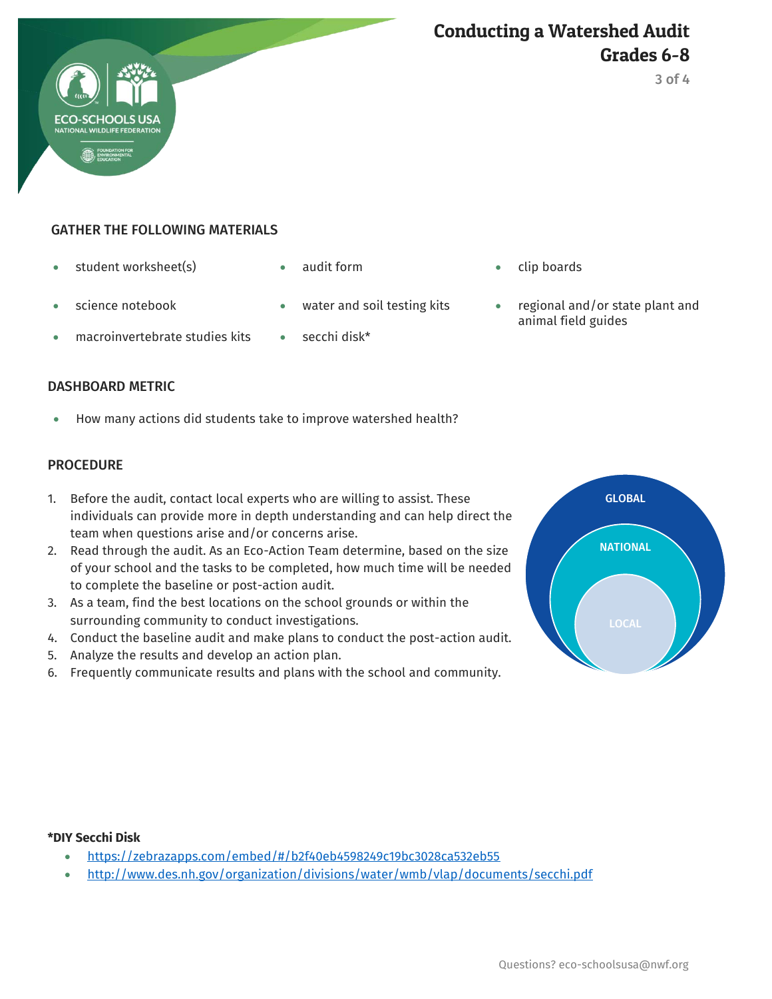

### Conducting a Watershed Audit Grades 6-8

3 of 4

### GATHER THE FOLLOWING MATERIALS

- student worksheet(s) audit form clip boards
- 

- 
- macroinvertebrate studies kits on secchi disk\*
- 
- 
- science notebook water and soil testing kits regional and/or state plant and animal field guides

### DASHBOARD METRIC

How many actions did students take to improve watershed health?

### **PROCEDURE**

- 1. Before the audit, contact local experts who are willing to assist. These individuals can provide more in depth understanding and can help direct the team when questions arise and/or concerns arise.
- 2. Read through the audit. As an Eco-Action Team determine, based on the size of your school and the tasks to be completed, how much time will be needed to complete the baseline or post-action audit.
- 3. As a team, find the best locations on the school grounds or within the surrounding community to conduct investigations.
- 4. Conduct the baseline audit and make plans to conduct the post-action audit.
- 5. Analyze the results and develop an action plan.
- 6. Frequently communicate results and plans with the school and community.



### **\*DIY Secchi Disk**

- <https://zebrazapps.com/embed/#/b2f40eb4598249c19bc3028ca532eb55>
- <http://www.des.nh.gov/organization/divisions/water/wmb/vlap/documents/secchi.pdf>